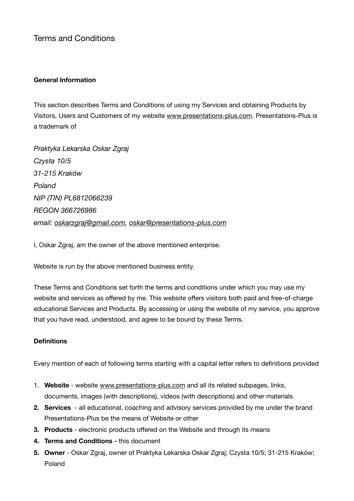Terms and Conditions

# **General Information**

This section describes Terms and Conditions of using my Services and obtaining Products by Visitors, Users and Customers of my website [www.presentations-plus.com](http://www.presentations-plus.com). Presentations-Plus is a trademark of

*Praktyka Lekarska Oskar Zgraj Czysta 10/5 31-215 Kraków Poland NIP (TIN) PL6812066239 REGON 366726986 email: [oskarzgraj@gmail.com](mailto:oskarzgraj@gmail.com), [oskar@presentations-plus.com](mailto:oskar@presentations-plus.com)*

I, Oskar Zgraj, am the owner of the above mentioned enterprise.

Website is run by the above mentioned business entity.

These Terms and Conditions set forth the terms and conditions under which you may use my website and services as offered by me. This website offers visitors both paid and free-of-charge educational Services and Products. By accessing or using the website of my service, you approve that you have read, understood, and agree to be bound by these Terms.

# **Definitions**

Every mention of each of following terms starting with a capital letter refers to definitions provided

- 1. **Website** website [www.presentations-plus.com](http://www.presentations-plus.com) and all its related subpages, links, documents, images (with descriptions), videos (with descriptions) and other materials
- **2. Services**  all educational, coaching and advisory services provided by me under the brand Presentations-Plus be the means of Website or other
- **3. Products**  electronic products offered on the Website and through its means
- **4. Terms and Conditions -** this document
- **5. Owner** Oskar Zgraj, owner of Praktyka Lekarska Oskar Zgraj; Czysta 10/5; 31-215 Kraków; Poland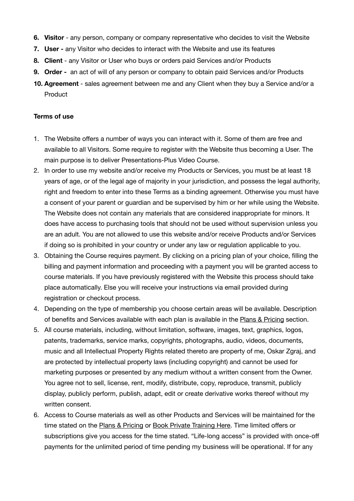- **6. Visitor** any person, company or company representative who decides to visit the Website
- **7. User** any Visitor who decides to interact with the Website and use its features
- **8. Client**  any Visitor or User who buys or orders paid Services and/or Products
- **9. Order** an act of will of any person or company to obtain paid Services and/or Products
- **10. Agreement**  sales agreement between me and any Client when they buy a Service and/or a Product

#### **Terms of use**

- 1. The Website offers a number of ways you can interact with it. Some of them are free and available to all Visitors. Some require to register with the Website thus becoming a User. The main purpose is to deliver Presentations-Plus Video Course.
- 2. In order to use my website and/or receive my Products or Services, you must be at least 18 years of age, or of the legal age of majority in your jurisdiction, and possess the legal authority, right and freedom to enter into these Terms as a binding agreement. Otherwise you must have a consent of your parent or guardian and be supervised by him or her while using the Website. The Website does not contain any materials that are considered inappropriate for minors. It does have access to purchasing tools that should not be used without supervision unless you are an adult. You are not allowed to use this website and/or receive Products and/or Services if doing so is prohibited in your country or under any law or regulation applicable to you.
- 3. Obtaining the Course requires payment. By clicking on a pricing plan of your choice, filling the billing and payment information and proceeding with a payment you will be granted access to course materials. If you have previously registered with the Website this process should take place automatically. Else you will receive your instructions via email provided during registration or checkout process.
- 4. Depending on the type of membership you choose certain areas will be available. Description of benefits and Services available with each plan is available in the [Plans & Pricing](https://www.presentations-plus.com/plans-pricing) section.
- 5. All course materials, including, without limitation, software, images, text, graphics, logos, patents, trademarks, service marks, copyrights, photographs, audio, videos, documents, music and all Intellectual Property Rights related thereto are property of me, Oskar Zgraj, and are protected by intellectual property laws (including copyright) and cannot be used for marketing purposes or presented by any medium without a written consent from the Owner. You agree not to sell, license, rent, modify, distribute, copy, reproduce, transmit, publicly display, publicly perform, publish, adapt, edit or create derivative works thereof without my written consent.
- 6. Access to Course materials as well as other Products and Services will be maintained for the time stated on the [Plans & Pricing](https://www.presentations-plus.com/plans-pricing) or [Book Private Training Here.](https://www.presentations-plus.com/book-private-coaching-here-premium) Time limited offers or subscriptions give you access for the time stated. "Life-long access" is provided with once-off payments for the unlimited period of time pending my business will be operational. If for any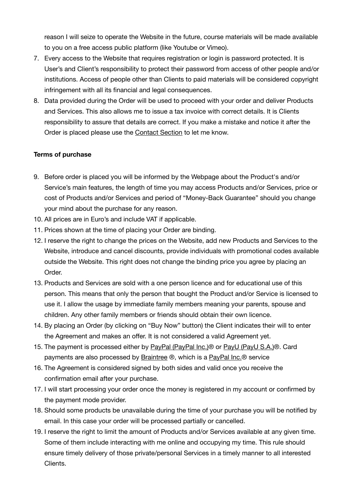reason I will seize to operate the Website in the future, course materials will be made available to you on a free access public platform (like Youtube or Vimeo).

- 7. Every access to the Website that requires registration or login is password protected. It is User's and Client's responsibility to protect their password from access of other people and/or institutions. Access of people other than Clients to paid materials will be considered copyright infringement with all its financial and legal consequences.
- 8. Data provided during the Order will be used to proceed with your order and deliver Products and Services. This also allows me to issue a tax invoice with correct details. It is Clients responsibility to assure that details are correct. If you make a mistake and notice it after the Order is placed please use the [Contact Section](https://www.presentations-plus.com/contact-1) to let me know.

# **Terms of purchase**

- 9. Before order is placed you will be informed by the Webpage about the Product's and/or Service's main features, the length of time you may access Products and/or Services, price or cost of Products and/or Services and period of "Money-Back Guarantee" should you change your mind about the purchase for any reason.
- 10. All prices are in Euro's and include VAT if applicable.
- 11. Prices shown at the time of placing your Order are binding.
- 12. I reserve the right to change the prices on the Website, add new Products and Services to the Website, introduce and cancel discounts, provide individuals with promotional codes available outside the Website. This right does not change the binding price you agree by placing an Order.
- 13. Products and Services are sold with a one person licence and for educational use of this person. This means that only the person that bought the Product and/or Service is licensed to use it. I allow the usage by immediate family members meaning your parents, spouse and children. Any other family members or friends should obtain their own licence.
- 14. By placing an Order (by clicking on "Buy Now" button) the Client indicates their will to enter the Agreement and makes an offer. It is not considered a valid Agreement yet.
- 15. The payment is processed either by PayPal (PayPal Inc.)<sup>®</sup> or PayU (PayU S.A.)<sup>®</sup>. Card payments are also processed by [Braintree](https://www.braintreepayments.com) ®, which is a [PayPal Inc.®](http://www.paypal.com) service
- 16. The Agreement is considered signed by both sides and valid once you receive the confirmation email after your purchase.
- 17. I will start processing your order once the money is registered in my account or confirmed by the payment mode provider.
- 18. Should some products be unavailable during the time of your purchase you will be notified by email. In this case your order will be processed partially or cancelled.
- 19. I reserve the right to limit the amount of Products and/or Services available at any given time. Some of them include interacting with me online and occupying my time. This rule should ensure timely delivery of those private/personal Services in a timely manner to all interested Clients.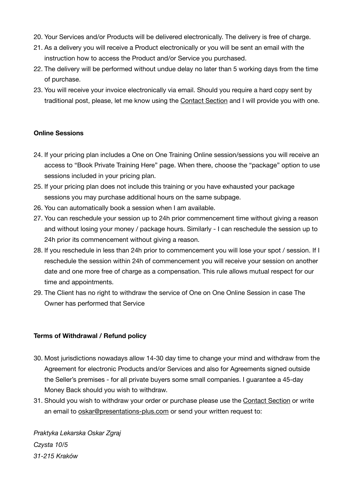- 20. Your Services and/or Products will be delivered electronically. The delivery is free of charge.
- 21. As a delivery you will receive a Product electronically or you will be sent an email with the instruction how to access the Product and/or Service you purchased.
- 22. The delivery will be performed without undue delay no later than 5 working days from the time of purchase.
- 23. You will receive your invoice electronically via email. Should you require a hard copy sent by traditional post, please, let me know using the [Contact Section](https://www.presentations-plus.com/contact-1) and I will provide you with one.

## **Online Sessions**

- 24. If your pricing plan includes a One on One Training Online session/sessions you will receive an access to "Book Private Training Here" page. When there, choose the "package" option to use sessions included in your pricing plan.
- 25. If your pricing plan does not include this training or you have exhausted your package sessions you may purchase additional hours on the same subpage.
- 26. You can automatically book a session when I am available.
- 27. You can reschedule your session up to 24h prior commencement time without giving a reason and without losing your money / package hours. Similarly - I can reschedule the session up to 24h prior its commencement without giving a reason.
- 28. If you reschedule in less than 24h prior to commencement you will lose your spot / session. If I reschedule the session within 24h of commencement you will receive your session on another date and one more free of charge as a compensation. This rule allows mutual respect for our time and appointments.
- 29. The Client has no right to withdraw the service of One on One Online Session in case The Owner has performed that Service

### **Terms of Withdrawal / Refund policy**

- 30. Most jurisdictions nowadays allow 14-30 day time to change your mind and withdraw from the Agreement for electronic Products and/or Services and also for Agreements signed outside the Seller's premises - for all private buyers some small companies. I guarantee a 45-day Money Back should you wish to withdraw.
- 31. Should you wish to withdraw your order or purchase please use the [Contact Section](https://www.presentations-plus.com/contact-1) or write an email to [oskar@presentations-plus.com](mailto:oskar@presentations-plus.com?subject=Withdrawal) or send your written request to:

*Praktyka Lekarska Oskar Zgraj Czysta 10/5 31-215 Kraków*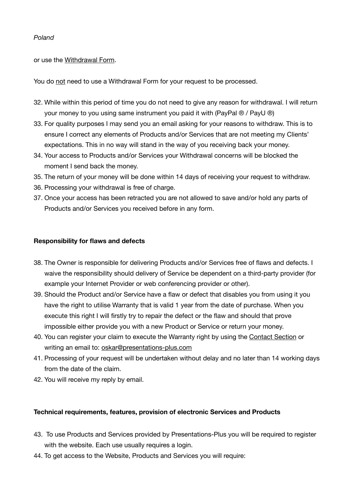## *Poland*

or use the [Withdrawal Form.](http://www.presentations-plus.com/contact6)

You do not need to use a Withdrawal Form for your request to be processed.

- 32. While within this period of time you do not need to give any reason for withdrawal. I will return your money to you using same instrument you paid it with (PayPal ® / PayU ®)
- 33. For quality purposes I may send you an email asking for your reasons to withdraw. This is to ensure I correct any elements of Products and/or Services that are not meeting my Clients' expectations. This in no way will stand in the way of you receiving back your money.
- 34. Your access to Products and/or Services your Withdrawal concerns will be blocked the moment I send back the money.
- 35. The return of your money will be done within 14 days of receiving your request to withdraw.
- 36. Processing your withdrawal is free of charge.
- 37. Once your access has been retracted you are not allowed to save and/or hold any parts of Products and/or Services you received before in any form.

## **Responsibility for flaws and defects**

- 38. The Owner is responsible for delivering Products and/or Services free of flaws and defects. I waive the responsibility should delivery of Service be dependent on a third-party provider (for example your Internet Provider or web conferencing provider or other).
- 39. Should the Product and/or Service have a flaw or defect that disables you from using it you have the right to utilise Warranty that is valid 1 year from the date of purchase. When you execute this right I will firstly try to repair the defect or the flaw and should that prove impossible either provide you with a new Product or Service or return your money.
- 40. You can register your claim to execute the Warranty right by using the [Contact Section](https://www.presentations-plus.com/contact-1) or writing an email to: [oskar@presentations-plus.com](mailto:oskar@presentations-plus.com?subject=Warranty%20Claim)
- 41. Processing of your request will be undertaken without delay and no later than 14 working days from the date of the claim.
- 42. You will receive my reply by email.

### **Technical requirements, features, provision of electronic Services and Products**

- 43. To use Products and Services provided by Presentations-Plus you will be required to register with the website. Each use usually requires a login.
- 44. To get access to the Website, Products and Services you will require: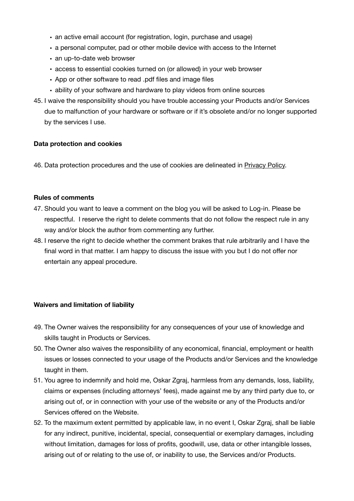- an active email account (for registration, login, purchase and usage)
- a personal computer, pad or other mobile device with access to the Internet
- an up-to-date web browser
- access to essential cookies turned on (or allowed) in your web browser
- App or other software to read .pdf files and image files
- ability of your software and hardware to play videos from online sources
- 45. I waive the responsibility should you have trouble accessing your Products and/or Services due to malfunction of your hardware or software or if it's obsolete and/or no longer supported by the services I use.

### **Data protection and cookies**

46. Data protection procedures and the use of cookies are delineated in [Privacy Policy.](https://www.presentations-plus.com/privacy-policy)

### **Rules of comments**

- 47. Should you want to leave a comment on the blog you will be asked to Log-in. Please be respectful. I reserve the right to delete comments that do not follow the respect rule in any way and/or block the author from commenting any further.
- 48. I reserve the right to decide whether the comment brakes that rule arbitrarily and I have the final word in that matter. I am happy to discuss the issue with you but I do not offer nor entertain any appeal procedure.

### **Waivers and limitation of liability**

- 49. The Owner waives the responsibility for any consequences of your use of knowledge and skills taught in Products or Services.
- 50. The Owner also waives the responsibility of any economical, financial, employment or health issues or losses connected to your usage of the Products and/or Services and the knowledge taught in them.
- 51. You agree to indemnify and hold me, Oskar Zgraj, harmless from any demands, loss, liability, claims or expenses (including attorneys' fees), made against me by any third party due to, or arising out of, or in connection with your use of the website or any of the Products and/or Services offered on the Website.
- 52. To the maximum extent permitted by applicable law, in no event I, Oskar Zgraj, shall be liable for any indirect, punitive, incidental, special, consequential or exemplary damages, including without limitation, damages for loss of profits, goodwill, use, data or other intangible losses, arising out of or relating to the use of, or inability to use, the Services and/or Products.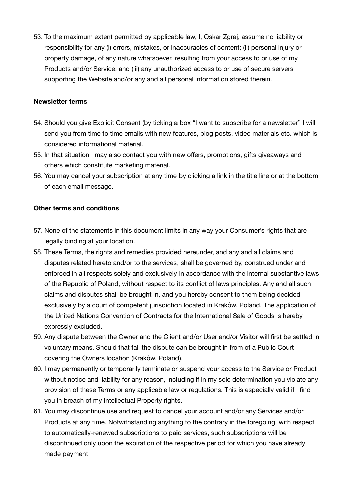53. To the maximum extent permitted by applicable law, I, Oskar Zgraj, assume no liability or responsibility for any (i) errors, mistakes, or inaccuracies of content; (ii) personal injury or property damage, of any nature whatsoever, resulting from your access to or use of my Products and/or Service; and (iii) any unauthorized access to or use of secure servers supporting the Website and/or any and all personal information stored therein.

## **Newsletter terms**

- 54. Should you give Explicit Consent (by ticking a box "I want to subscribe for a newsletter" I will send you from time to time emails with new features, blog posts, video materials etc. which is considered informational material.
- 55. In that situation I may also contact you with new offers, promotions, gifts giveaways and others which constitute marketing material.
- 56. You may cancel your subscription at any time by clicking a link in the title line or at the bottom of each email message.

# **Other terms and conditions**

- 57. None of the statements in this document limits in any way your Consumer's rights that are legally binding at your location.
- 58. These Terms, the rights and remedies provided hereunder, and any and all claims and disputes related hereto and/or to the services, shall be governed by, construed under and enforced in all respects solely and exclusively in accordance with the internal substantive laws of the Republic of Poland, without respect to its conflict of laws principles. Any and all such claims and disputes shall be brought in, and you hereby consent to them being decided exclusively by a court of competent jurisdiction located in Kraków, Poland. The application of the United Nations Convention of Contracts for the International Sale of Goods is hereby expressly excluded.
- 59. Any dispute between the Owner and the Client and/or User and/or Visitor will first be settled in voluntary means. Should that fail the dispute can be brought in from of a Public Court covering the Owners location (Kraków, Poland).
- 60. I may permanently or temporarily terminate or suspend your access to the Service or Product without notice and liability for any reason, including if in my sole determination you violate any provision of these Terms or any applicable law or regulations. This is especially valid if I find you in breach of my Intellectual Property rights.
- 61. You may discontinue use and request to cancel your account and/or any Services and/or Products at any time. Notwithstanding anything to the contrary in the foregoing, with respect to automatically-renewed subscriptions to paid services, such subscriptions will be discontinued only upon the expiration of the respective period for which you have already made payment